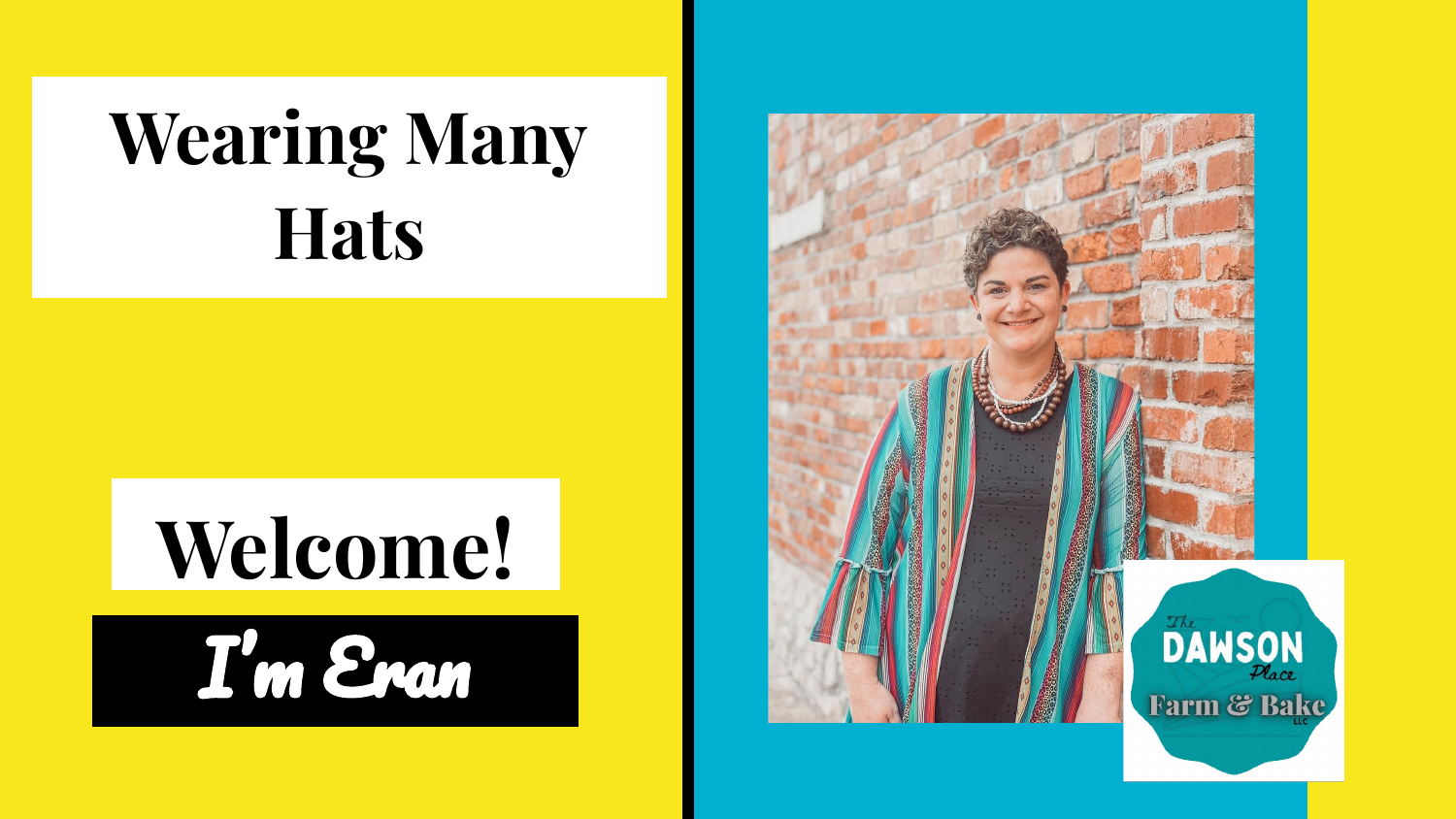### **Wearing Many Hats**

### **Welcome!**



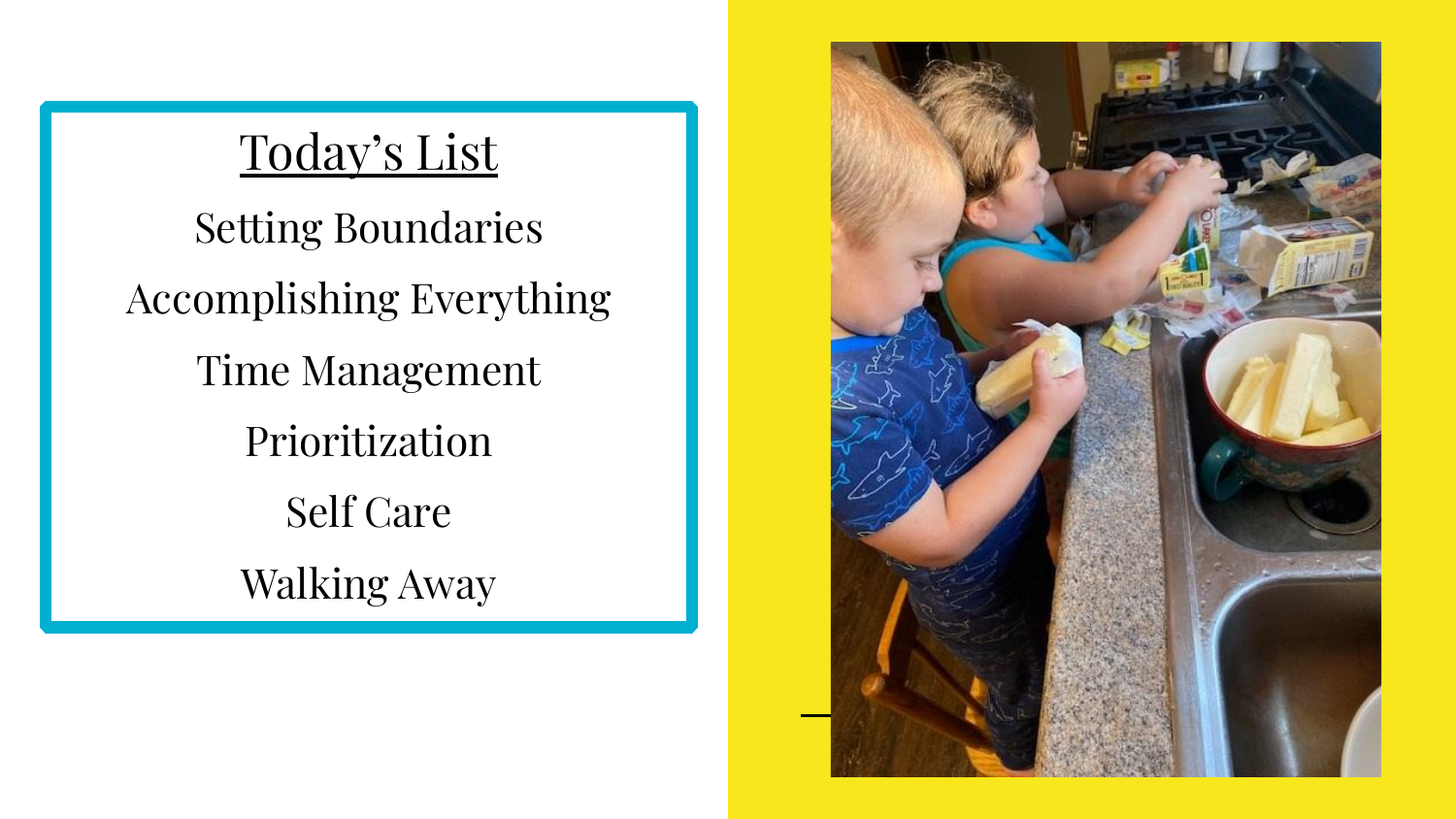#### Today's List

Setting Boundaries Accomplishing Everything Time Management Prioritization Self Care Walking Away

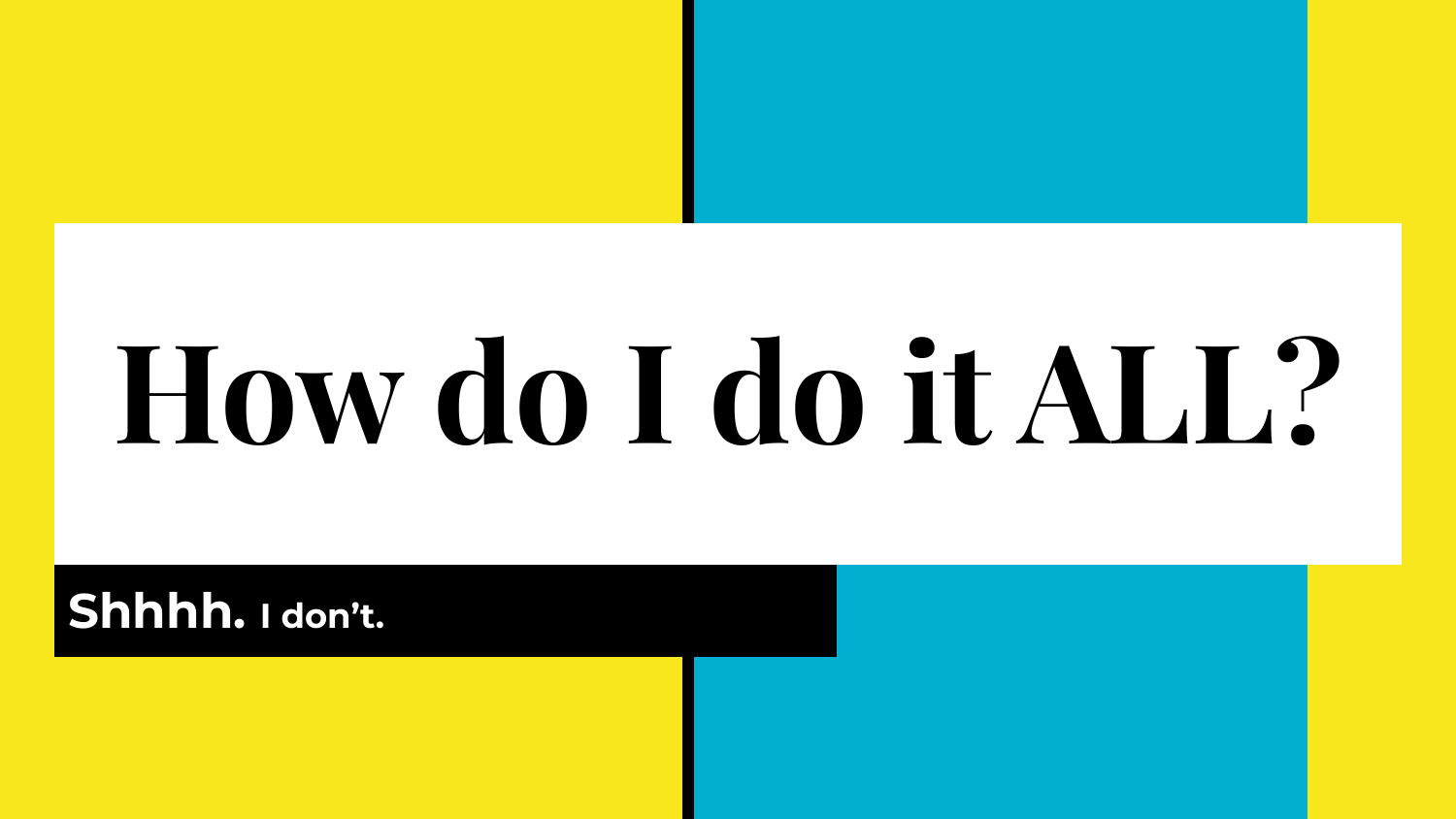# **How do I do it ALL?**

#### **Shhhh. I don't.**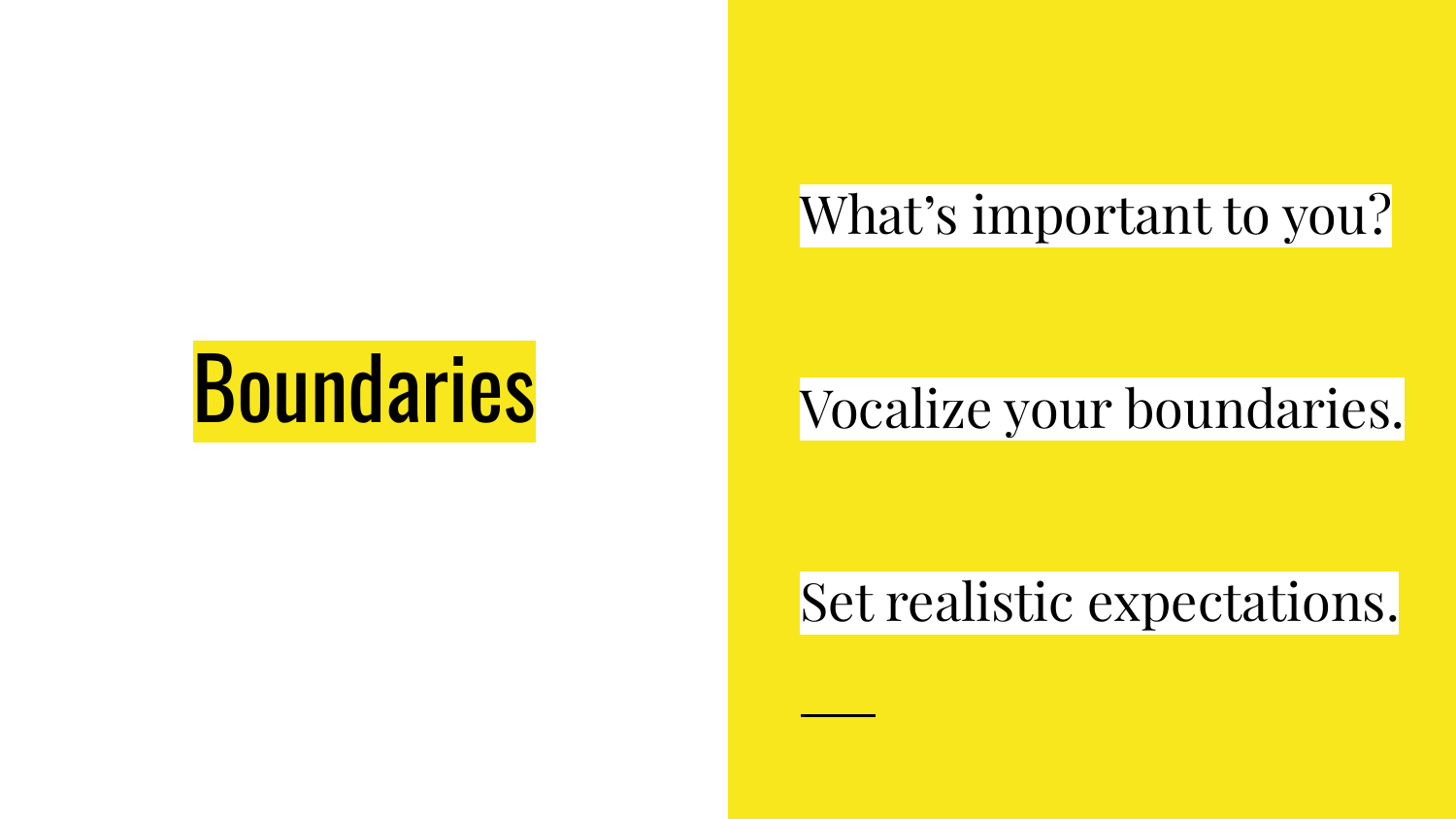#### What's important to you?

### **Boundaries**

#### Vocalize your boundaries.

#### Set realistic expectations.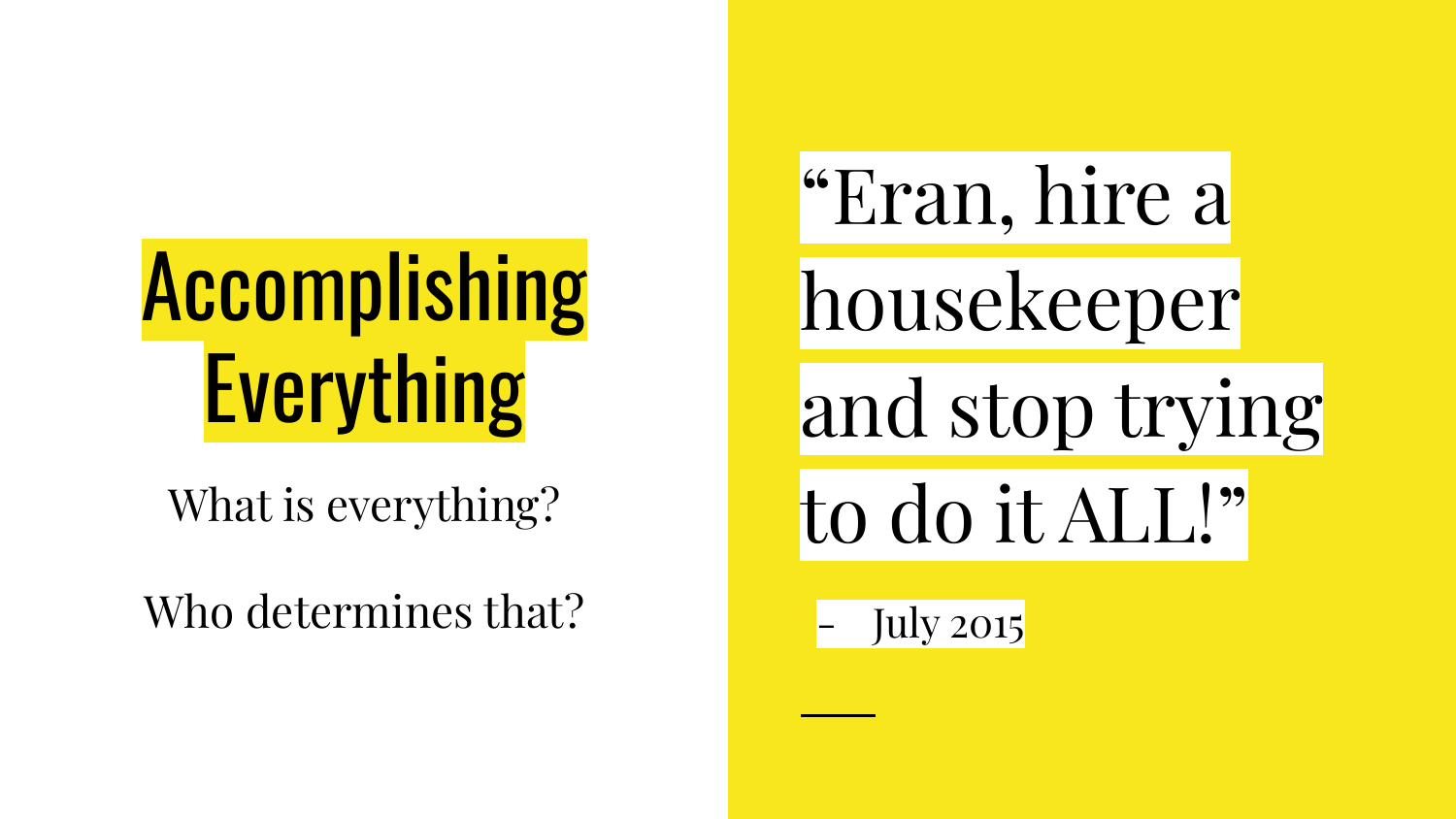### **Accomplishing Everything**

What is everything?

Who determines that?

"Eran, hire a

housekeeper

and stop trying

to do it ALL!"

**July 2015**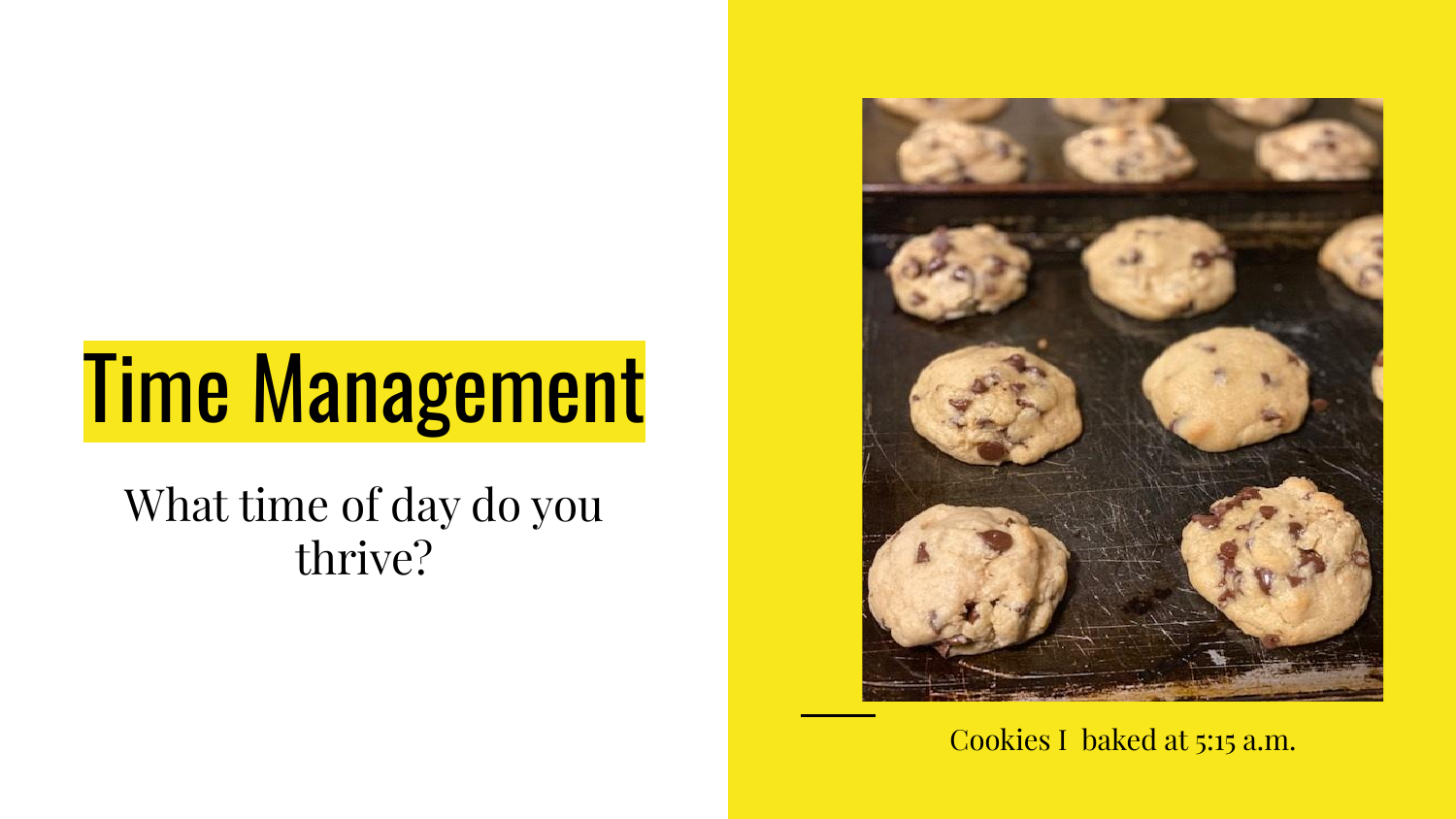### Time Management

What time of day do you thrive?



Cookies I baked at 5:15 a.m.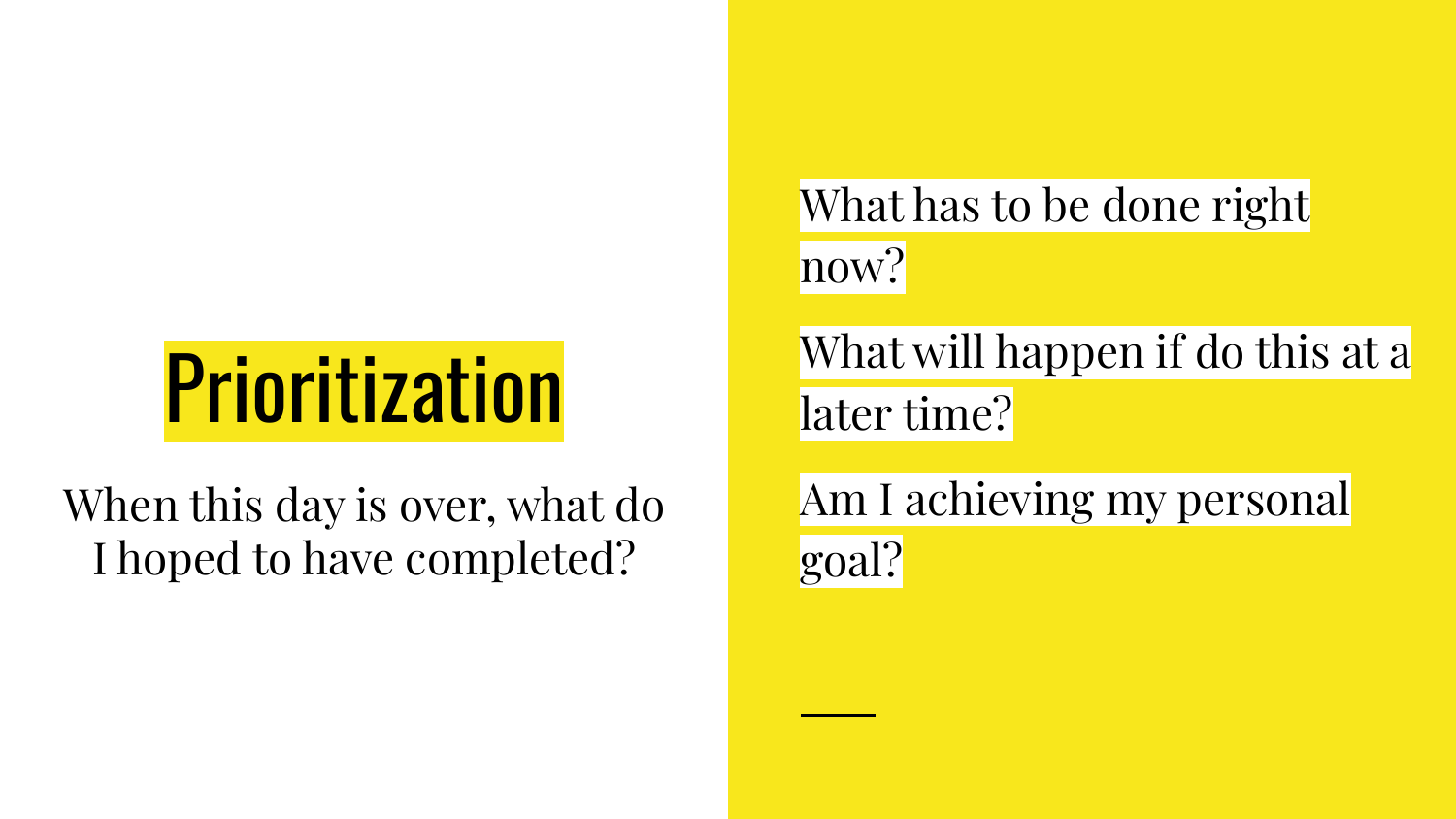### **Prioritization**

When this day is over, what do I hoped to have completed?

What has to be done right now?

What will happen if do this at a later time?

Am I achieving my personal goal?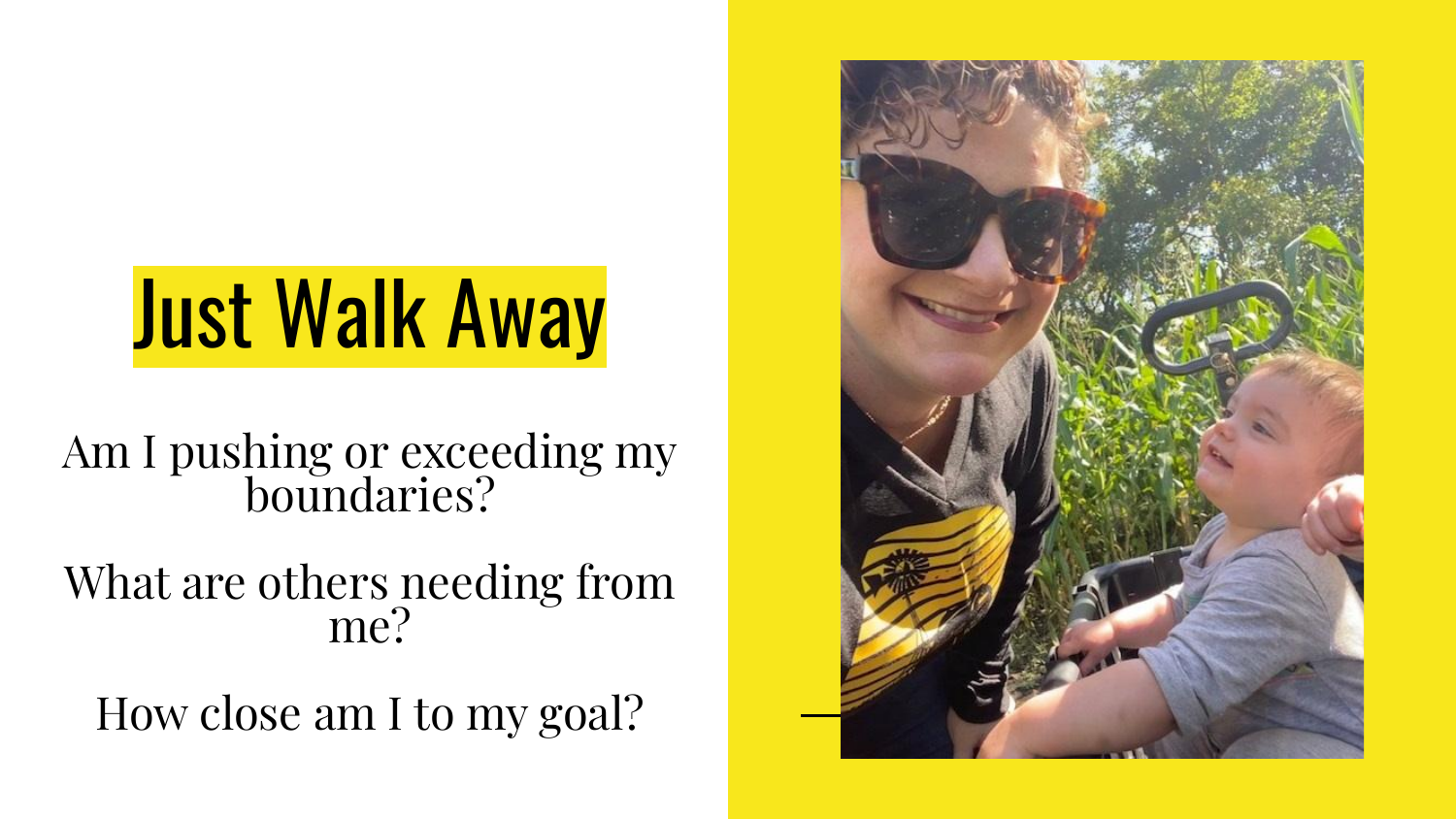### Just Walk Away

Am I pushing or exceeding my boundaries?

What are others needing from me?

How close am I to my goal?

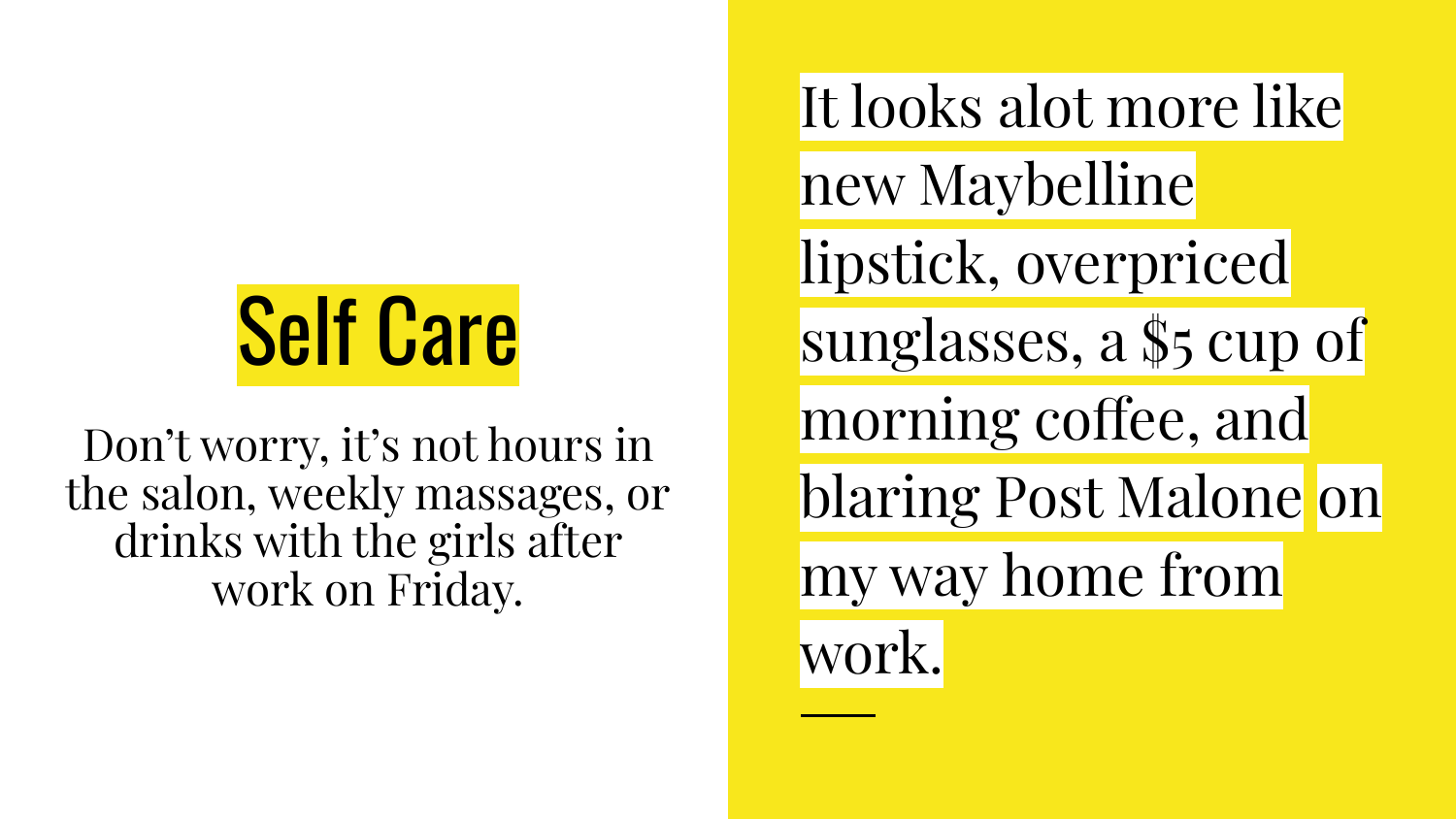### Self Care

Don't worry, it's not hours in the salon, weekly massages, or drinks with the girls after work on Friday.

It looks alot more like new Maybelline lipstick, overpriced sunglasses, a \$5 cup of morning coffee, and blaring Post Malone on my way home from work.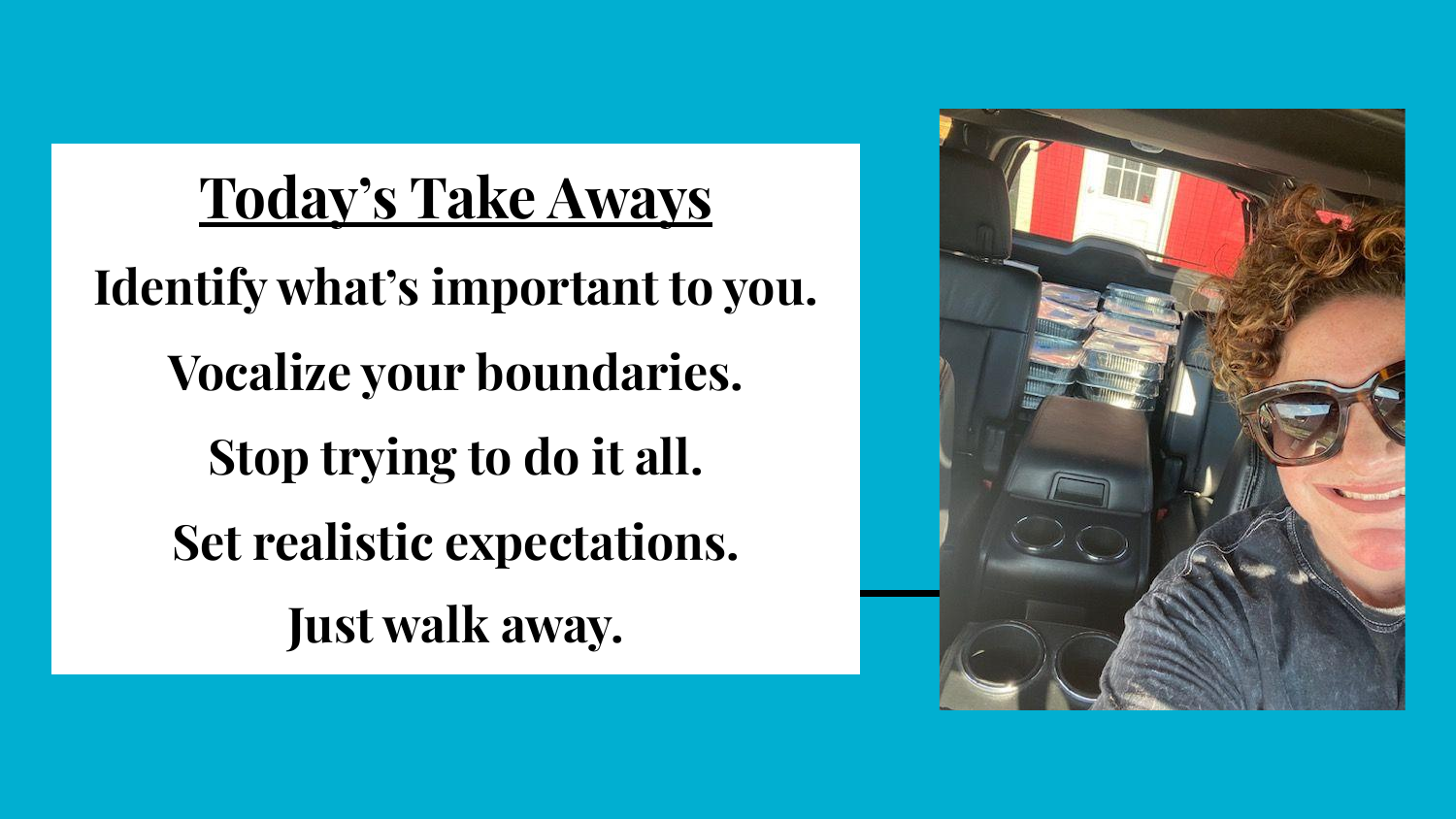**Today's Take Aways Identify what's important to you. Vocalize your boundaries. Stop trying to do it all. Set realistic expectations. Just walk away.**